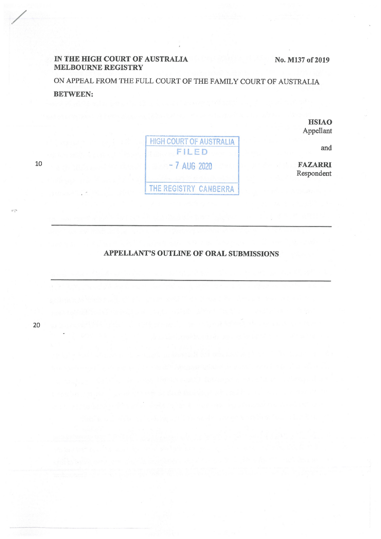## IN **THE HIGH COURT OF AUSTRALIA MELBOURNE REGISTRY**

**No. M137 of 2019** 

ON APPEAL FROM THE FULL COURT OF THE FAMILY COURT OF AUSTRALIA **BETWEEN:** 

> **HSIAO**  Appellant

**HIGH COURT OF AUSTRALIA** FILED - 7 AUG 2020 THE REGISTRY CANBERRA

and

**FAZARRI**  Respondent

## **APPELLANT'S OUTLINE OF ORAL SUBMISSIONS**

20

10

 $\bar{w}^{\alpha}_{\bar{z}}$ 

/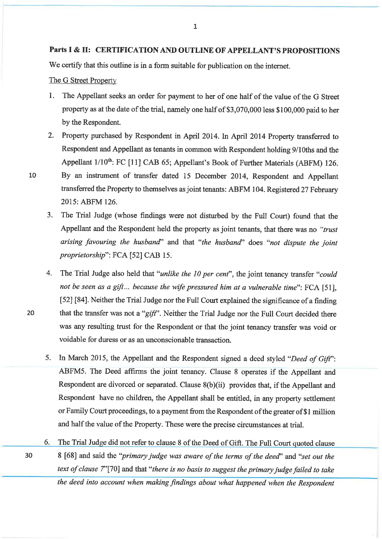We certify that this outline is in a form suitable for publication on the internet.

The G Street Property

- 1. The Appellant seeks an order for payment to her of one half of the value of the G Street property as at the date of the trial, namely one half of \$3,070,000 less \$100,000 paid to her by the Respondent.
- 2. Property purchased by Respondent in April 2014. In April 2014 Property transferred to Respondent and Appellant as tenants in common with Respondent holding 9/1 0ths and the Appellant 1/10<sup>th</sup>: FC [11] CAB 65; Appellant's Book of Further Materials (ABFM) 126.

- 10 By an instrument of transfer dated 15 December 2014, Respondent and Appellant transferred the Property to themselves as joint tenants: ABFM 104. Registered 27 February 2015: ABFM 126.
	- 3. The Trial Judge (whose findings were not disturbed by the Full Court) found that the Appellant and the Respondent held the property as joint tenants, that there was no *"trust arising favouring the husband''* and that *"the husband''* does *"not dispute the joint proprietorship":* FCA [52] CAB 15.
- 4. The Trial Judge also held that *"unlike the 10 per cent",* the joint tenancy transfer *"could not be seen as a gift ... because the wife pressured him at a vulnerable time":* FCA [51], [52] [84]. Neither the Trial Judge nor the Full Court explained the significance of a finding 20 that the transfer was not a "gift". Neither the Trial Judge nor the Full Court decided there was any resulting trust for the Respondent or that the joint tenancy transfer was void or voidable for duress or as an unconscionable transaction.
	- 5. In March 2015, the Appellant and the Respondent signed a deed styled *"Deed of* Gift": ABFM5. The Deed affirms the joint tenancy. Clause 8 operates if the Appellant and Respondent are divorced or separated. Clause 8(b)(ii) provides that, if the Appellant and Respondent have no children, the Appellant shall be entitled, in any property settlement or Family Court proceedings, to a payment from the Respondent of the greater of\$ I million and half the value of the Property. These were the precise circumstances at trial.
- 6. The Trial Judge did not refer to clause 8 of the Deed of Gift. The Full Court quoted clause <sup>30</sup>8 [68] and said the *"primary judge was aware of the terms of the deed''* and *"set out the text of clause* 7''[70] and that *"there is no basis to suggest the primary judge failed to take the deed into account when making findings about what happened when the Respondent*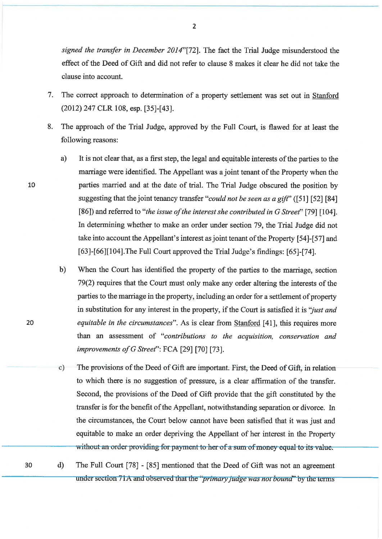*signed the transfer in December 2014"[72].* The fact the Trial Judge misunderstood the effect of the Deed of Gift and did not refer to clause 8 makes it clear he did not take the clause into account.

- 7. The correct approach to determination of a property settlement was set out in Stanford (2012) 247 CLR 108, esp. [35]-[43].
- 8. The approach of the Trial Judge, approved by the Full Court, is flawed for at least the following reasons:
- a) It is not clear that, as a first step, the legal and equitable interests of the parties to the marriage were identified. The Appellant was a joint tenant of the Property when the 10 parties married and at the date of trial. The Trial Judge obscured the position by suggesting that the joint tenancy transfer *"could not be seen as a gift"* ([51] [52] **[84]**  [86]) and referred to *"the issue of the interest she contributed in G Street"* [79] [104]. In determining whether to make an order under section 79, the Trial Judge did not take into account the Appellant's interest as joint tenant of the Property [54]-[57] and [63]-[66][104]. The Full Court approved the Trial Judge's findings: [65]-[74].
	- b) When the Court has identified the property of the parties to the marriage, section 79(2) requires that the Court must only make any order altering the interests of the parties to the marriage in the property, including an order for a settlement of property in substitution for any interest in the property, if the Court is satisfied it is *''just and equitable in the circumstances".* As is clear from Stanford [41], this requires more than an assessment of *"contributions to the acquisition, conservation and improvements ofG Street":* FCA [29] [70] [73].
	- c) The provisions of the Deed of Gift are important. First, the Deed of Gift, in relation to which there is no suggestion of pressure, is a clear affirmation of the transfer. Second, the provisions of the Deed of Gift provide that the gift constituted by the transfer is for the benefit of the Appellant, notwithstanding separation or divorce. In the circumstances, the Court below cannot have been satisfied that it was just and equitable to make an order depriving the Appellant of her interest in the Property without an order providing for payment to her of a sum of money equal to its value.
- <sup>30</sup>d) The Full Court [78] [85] mentioned that the Deed of Gift was not an agreement under section 71A and observed that the "*primary judge was not bound*" by the terms

20